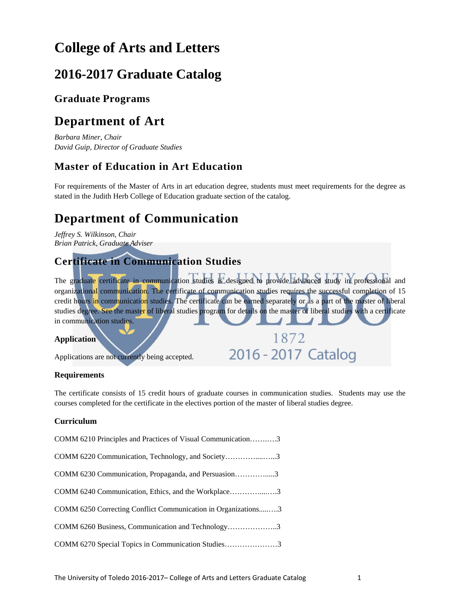# **College of Arts and Letters**

# **2016-2017 Graduate Catalog**

## **Graduate Programs**

# **Department of Art**

*Barbara Miner, Chair David Guip, Director of Graduate Studies* 

## **Master of Education in Art Education**

For requirements of the Master of Arts in art education degree, students must meet requirements for the degree as stated in the Judith Herb College of Education graduate section of the catalog.

# **Department of Communication**

*Jeffrey S. Wilkinson, Chair Brian Patrick, Graduate Adviser*

## **Certificate in Communication Studies**

The graduate certificate in communication studies is designed to provide advanced study in professional and organizational communication. The certificate of communication studies requires the successful completion of 15 credit hours in communication studies. The certificate can be earned separately or as a part of the master of liberal studies degree. See the master of liberal studies program for details on the master of liberal studies with a certificate in communication studies.

1872

2016 - 2017 Catalog

## **Application**

Applications are not currently being accepted.

## **Requirements**

The certificate consists of 15 credit hours of graduate courses in communication studies. Students may use the courses completed for the certificate in the electives portion of the master of liberal studies degree.

## **Curriculum**

| COMM 6210 Principles and Practices of Visual Communication3   |  |
|---------------------------------------------------------------|--|
| COMM 6220 Communication, Technology, and Society3             |  |
| COMM 6230 Communication, Propaganda, and Persuasion3          |  |
| COMM 6240 Communication, Ethics, and the Workplace3           |  |
| COMM 6250 Correcting Conflict Communication in Organizations3 |  |
| COMM 6260 Business, Communication and Technology3             |  |
| COMM 6270 Special Topics in Communication Studies3            |  |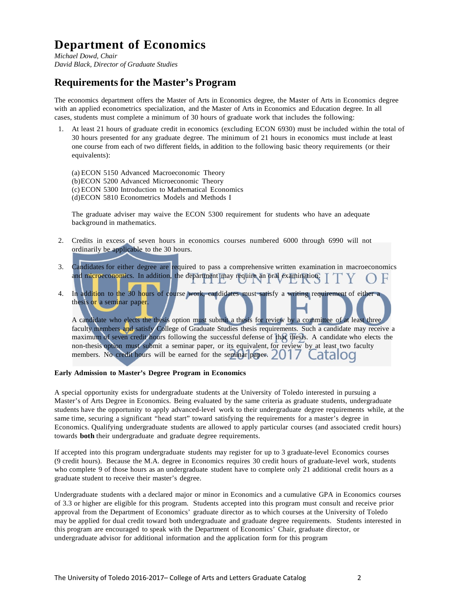# **Department of Economics**

*Michael Dowd, Chair David Black, Director of Graduate Studies*

## **Requirementsfor the Master's Program**

The economics department offers the Master of Arts in Economics degree, the Master of Arts in Economics degree with an applied econometrics specialization, and the Master of Arts in Economics and Education degree. In all cases, students must complete a minimum of 30 hours of graduate work that includes the following:

1. At least 21 hours of graduate credit in economics (excluding ECON 6930) must be included within the total of 30 hours presented for any graduate degree. The minimum of 21 hours in economics must include at least one course from each of two different fields, in addition to the following basic theory requirements (or their equivalents):

(a) ECON 5150 Advanced Macroeconomic Theory (b)ECON 5200 Advanced Microeconomic Theory (c) ECON 5300 Introduction to Mathematical Economics (d)ECON 5810 Econometrics Models and Methods I

The graduate adviser may waive the ECON 5300 requirement for students who have an adequate background in mathematics.

- 2. Credits in excess of seven hours in economics courses numbered 6000 through 6990 will not ordinarily be applicable to the 30 hours.
- 3. Candidates for either degree are required to pass a comprehensive written examination in macroeconomics and microeconomics. In addition, the department may require an oral examination.
- 4. In addition to the 30 hours of course work, candidates must satisfy a writing requirement of either a thesis or a seminar paper.

A candidate who elects the thesis option must submit a thesis for review by a committee of at least three faculty members and satisfy College of Graduate Studies thesis requirements. Such a candidate may receive a maximum of seven credit hours following the successful defense of that thesis. A candidate who elects the non-thesis option must submit a seminar paper, or its equivalent, for review by at least two faculty members. No credit hours will be earned for the seminar paper. 2017 atalod

#### **Early Admission to Master's Degree Program in Economics**

A special opportunity exists for undergraduate students at the University of Toledo interested in pursuing a Master's of Arts Degree in Economics. Being evaluated by the same criteria as graduate students, undergraduate students have the opportunity to apply advanced-level work to their undergraduate degree requirements while, at the same time, securing a significant "head start" toward satisfying the requirements for a master's degree in Economics. Qualifying undergraduate students are allowed to apply particular courses (and associated credit hours) towards **both** their undergraduate and graduate degree requirements.

If accepted into this program undergraduate students may register for up to 3 graduate-level Economics courses (9 credit hours). Because the M.A. degree in Economics requires 30 credit hours of graduate-level work, students who complete 9 of those hours as an undergraduate student have to complete only 21 additional credit hours as a graduate student to receive their master's degree.

Undergraduate students with a declared major or minor in Economics and a cumulative GPA in Economics courses of 3.3 or higher are eligible for this program. Students accepted into this program must consult and receive prior approval from the Department of Economics' graduate director as to which courses at the University of Toledo may be applied for dual credit toward both undergraduate and graduate degree requirements. Students interested in this program are encouraged to speak with the Department of Economics' Chair, graduate director, or undergraduate advisor for additional information and the application form for this program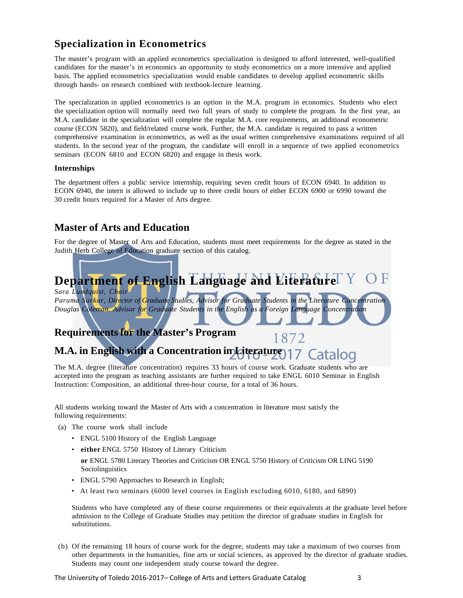## **Specialization in Econometrics**

The master's program with an applied econometrics specialization is designed to afford interested, well-qualified candidates for the master's in economics an opportunity to study econometrics on a more intensive and applied basis. The applied econometrics specialization would enable candidates to develop applied econometric skills through hands- on research combined with textbook-lecture learning.

The specialization in applied econometrics is an option in the M.A. program in economics. Students who elect the specialization option will normally need two full years of study to complete the program. In the first year, an M.A. candidate in the specialization will complete the regular M.A. core requirements, an additional econometric course (ECON 5820), and field/related course work. Further, the M.A. candidate is required to pass a written comprehensive examination in econometrics, as well as the usual written comprehensive examinations required of all students. In the second year of the program, the candidate will enroll in a sequence of two applied econometrics seminars (ECON 6810 and ECON 6820) and engage in thesis work.

## **Internships**

The department offers a public service internship, requiring seven credit hours of ECON 6940. In addition to ECON 6940, the intern is allowed to include up to three credit hours of either ECON 6900 or 6990 toward the 30 credit hours required for a Master of Arts degree.

## **Master of Arts and Education**

For the degree of Master of Arts and Education, students must meet requirements for the degree as stated in the Judith Herb College of Education graduate section of this catalog.

# **Department of English Language and Literature**

*Sara Lundquist, Chair*

*Parama Sarkar, Director of Graduate Studies, Advisor for Graduate Students in the Literature Concentration Douglas Coleman, Advisor for Graduate Students in the English as a Foreign Language Concentration*

1872

## **Requirementsfor the Master's Program**

# **M.A. in English with a Concentration in Literature**

The M.A. degree (literature concentration) requires 33 hours of course work. Graduate students who are accepted into the program as teaching assistants are further required to take ENGL 6010 Seminar in English Instruction: Composition, an additional three-hour course, for a total of 36 hours.

All students working toward the Master of Arts with a concentration in literature must satisfy the following requirements:

- (a) The course work shall include
	- ENGL 5100 History of the English Language
	- **either** ENGL 5750 History of Literary Criticism
	- **or** ENGL 5780 Literary Theories and Criticism OR ENGL 5750 History of Criticism OR LING 5190 Sociolinguistics
	- ENGL 5790 Approaches to Research in English;
	- At least two seminars (6000 level courses in English excluding 6010, 6180, and 6890)

Students who have completed any of these course requirements or their equivalents at the graduate level before admission to the College of Graduate Studies may petition the director of graduate studies in English for substitutions.

(b) Of the remaining 18 hours of course work for the degree, students may take a maximum of two courses from other departments in the humanities, fine arts or social sciences, as approved by the director of graduate studies. Students may count one independent study course toward the degree.

The University of Toledo 2016-2017– College of Arts and Letters Graduate Catalog 3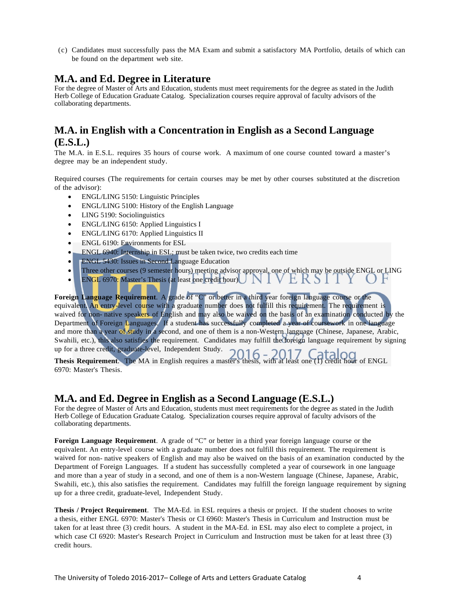(c) Candidates must successfully pass the MA Exam and submit a satisfactory MA Portfolio, details of which can be found on the department web site.

## **M.A. and Ed. Degree in Literature**

For the degree of Master of Arts and Education, students must meet requirements for the degree as stated in the Judith Herb College of Education Graduate Catalog. Specialization courses require approval of faculty advisors of the collaborating departments.

## **M.A. in English with a Concentration in English as a Second Language (E.S.L.)**

The M.A. in E.S.L. requires 35 hours of course work. A maximum of one course counted toward a master's degree may be an independent study.

Required courses (The requirements for certain courses may be met by other courses substituted at the discretion of the advisor):

- ENGL/LING 5150: Linguistic Principles
- ENGL/LING 5100: History of the English Language
- LING 5190: Sociolinguistics
- ENGL/LING 6150: Applied Linguistics I
- ENGL/LING 6170: Applied Linguistics II
- ENGL 6190: Environments for ESL
- ENGL 6940: Internship in ESL; must be taken twice, two credits each time
- **ENGL 5430:** Issues in Second Language Education
- Three other courses (9 semester hours) meeting advisor approval, one of which may be outside ENGL or LING
- ENGL 6970: Master's Thesis (at least one credit hour) INI VERSI

**Foreign Language Requirement**. A grade of "C" or better in a third year foreign language course or the equivalent. An entry-level course with a graduate number does not fulfill this requirement. The requirement is waived for non- native speakers of English and may also be waived on the basis of an examination conducted by the Department of Foreign Languages. If a student has successfully completed a year of coursework in one language and more than a year of study in a second, and one of them is a non-Western language (Chinese, Japanese, Arabic, Swahili, etc.), this also satisfies the requirement. Candidates may fulfill the foreign language requirement by signing up for a three credit, graduate-level, Independent Study.

**Thesis Requirement.** The MA in English requires a master's thesis, with at least one (1) credit hour of ENGL 6970: Master's Thesis.

## **M.A. and Ed. Degree in English as a Second Language (E.S.L.)**

For the degree of Master of Arts and Education, students must meet requirements for the degree as stated in the Judith Herb College of Education Graduate Catalog. Specialization courses require approval of faculty advisors of the collaborating departments.

**Foreign Language Requirement**. A grade of "C" or better in a third year foreign language course or the equivalent. An entry-level course with a graduate number does not fulfill this requirement. The requirement is waived for non- native speakers of English and may also be waived on the basis of an examination conducted by the Department of Foreign Languages. If a student has successfully completed a year of coursework in one language and more than a year of study in a second, and one of them is a non-Western language (Chinese, Japanese, Arabic, Swahili, etc.), this also satisfies the requirement. Candidates may fulfill the foreign language requirement by signing up for a three credit, graduate-level, Independent Study.

**Thesis / Project Requirement**. The MA-Ed. in ESL requires a thesis or project. If the student chooses to write a thesis, either ENGL 6970: Master's Thesis or CI 6960: Master's Thesis in Curriculum and Instruction must be taken for at least three (3) credit hours. A student in the MA-Ed. in ESL may also elect to complete a project, in which case CI 6920: Master's Research Project in Curriculum and Instruction must be taken for at least three (3) credit hours.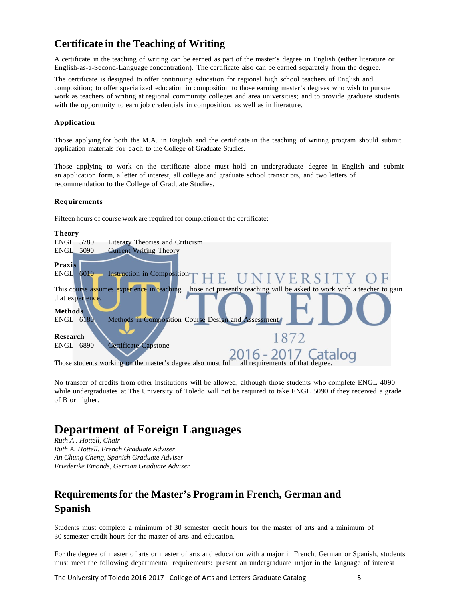## **Certificate in the Teaching of Writing**

A certificate in the teaching of writing can be earned as part of the master's degree in English (either literature or English-as-a-Second-Language concentration). The certificate also can be earned separately from the degree.

The certificate is designed to offer continuing education for regional high school teachers of English and composition; to offer specialized education in composition to those earning master's degrees who wish to pursue work as teachers of writing at regional community colleges and area universities; and to provide graduate students with the opportunity to earn job credentials in composition, as well as in literature.

#### **Application**

Those applying for both the M.A. in English and the certificate in the teaching of writing program should submit application materials for each to the College of Graduate Studies.

Those applying to work on the certificate alone must hold an undergraduate degree in English and submit an application form, a letter of interest, all college and graduate school transcripts, and two letters of recommendation to the College of Graduate Studies.

#### **Requirements**

Fifteen hours of course work are required for completion of the certificate:



No transfer of credits from other institutions will be allowed, although those students who complete ENGL 4090 while undergraduates at The University of Toledo will not be required to take ENGL 5090 if they received a grade of B or higher.

## **Department of Foreign Languages**

*Ruth A . Hottell, Chair Ruth A. Hottell, French Graduate Adviser An Chung Cheng, Spanish Graduate Adviser Friederike Emonds, German Graduate Adviser*

## **Requirementsfor the Master's Program in French, German and Spanish**

Students must complete a minimum of 30 semester credit hours for the master of arts and a minimum of 30 semester credit hours for the master of arts and education.

For the degree of master of arts or master of arts and education with a major in French, German or Spanish, students must meet the following departmental requirements: present an undergraduate major in the language of interest

The University of Toledo 2016-2017– College of Arts and Letters Graduate Catalog 5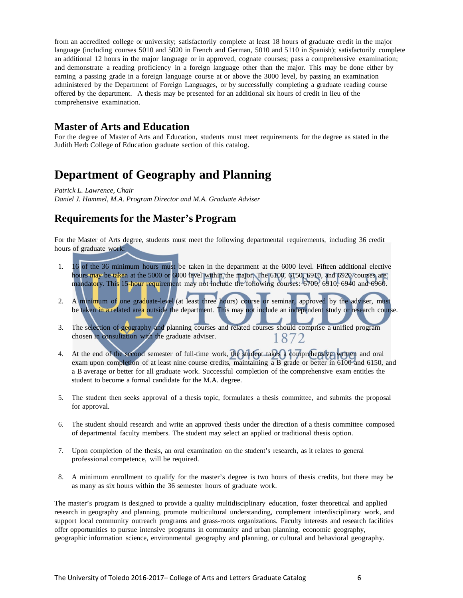from an accredited college or university; satisfactorily complete at least 18 hours of graduate credit in the major language (including courses 5010 and 5020 in French and German, 5010 and 5110 in Spanish); satisfactorily complete an additional 12 hours in the major language or in approved, cognate courses; pass a comprehensive examination; and demonstrate a reading proficiency in a foreign language other than the major. This may be done either by earning a passing grade in a foreign language course at or above the 3000 level, by passing an examination administered by the Department of Foreign Languages, or by successfully completing a graduate reading course offered by the department. A thesis may be presented for an additional six hours of credit in lieu of the comprehensive examination.

## **Master of Arts and Education**

For the degree of Master of Arts and Education, students must meet requirements for the degree as stated in the Judith Herb College of Education graduate section of this catalog.

## **Department of Geography and Planning**

*Patrick L. Lawrence, Chair Daniel J. Hammel, M.A. Program Director and M.A. Graduate Adviser*

## **Requirementsfor the Master's Program**

For the Master of Arts degree, students must meet the following departmental requirements, including 36 credit hours of graduate work:

- 1. 16 of the 36 minimum hours must be taken in the department at the 6000 level. Fifteen additional elective hours may be taken at the 5000 or 6000 level within the major. The 6100, 6150, 6910, and 6920 courses are mandatory. This 15-hour requirement may not include the following courses: 6700, 6910, 6940 and 6960.
- 2. A minimum of one graduate-level (at least three hours) course or seminar, approved by the adviser, must be taken in a related area outside the department. This may not include an independent study or research course.
- 3. The selection of geography and planning courses and related courses should comprise a unified program chosen in consultation with the graduate adviser. 1872
- 4. At the end of the second semester of full-time work, the student takes a comprehensive written and oral exam upon completion of at least nine course credits, maintaining a B grade or better in 6100 and 6150, and a B average or better for all graduate work. Successful completion of the comprehensive exam entitles the student to become a formal candidate for the M.A. degree.
- 5. The student then seeks approval of a thesis topic, formulates a thesis committee, and submits the proposal for approval.
- 6. The student should research and write an approved thesis under the direction of a thesis committee composed of departmental faculty members. The student may select an applied or traditional thesis option.
- 7. Upon completion of the thesis, an oral examination on the student's research, as it relates to general professional competence, will be required.
- 8. A minimum enrollment to qualify for the master's degree is two hours of thesis credits, but there may be as many as six hours within the 36 semester hours of graduate work.

The master's program is designed to provide a quality multidisciplinary education, foster theoretical and applied research in geography and planning, promote multicultural understanding, complement interdisciplinary work, and support local community outreach programs and grass-roots organizations. Faculty interests and research facilities offer opportunities to pursue intensive programs in community and urban planning, economic geography, geographic information science, environmental geography and planning, or cultural and behavioral geography.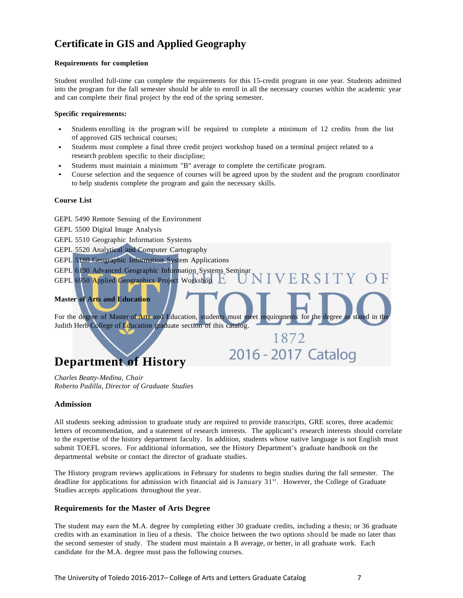## **Certificate in GIS and Applied Geography**

#### **Requirements for completion**

Student enrolled full-time can complete the requirements for this 15-credit program in one year. Students admitted into the program for the fall semester should be able to enroll in all the necessary courses within the academic year and can complete their final project by the end of the spring semester.

#### **Specific requirements:**

- Students enrolling in the program will be required to complete a minimum of 12 credits from the list of approved GIS technical courses;
- Students must complete a final three credit project workshop based on a terminal project related to a research problem specific to their discipline;
- Students must maintain a minimum "B" average to complete the certificate program.
- Course selection and the sequence of courses will be agreed upon by the student and the program coordinator to help students complete the program and gain the necessary skills.

#### **Course List**

GEPL 5490 Remote Sensing of the Environment

GEPL 5500 Digital Image Analysis

GEPL 5510 Geographic Information Systems

- GEPL 5520 Analytical and Computer Cartography
- GEPL 5180 Geographic Information System Applications
- GEPL 6190 Advanced Geographic Information Systems Seminar
- GEPL 6950 Applied Geographics Project Workshop

## **Master of Arts and Education**

For the degree of Master of Arts and Education, students must meet requirements for the degree as stated in the Judith Herb College of Education graduate section of this catalog.

# **Department of History**

*Charles Beatty-Medina, Chair Roberto Padilla, Director of Graduate Studies*

#### **Admission**

All students seeking admission to graduate study are required to provide transcripts, GRE scores, three academic letters of recommendation, and a statement of research interests. The applicant's research interests should correlate to the expertise of the history department faculty. In addition, students whose native language is not English must submit TOEFL scores. For additional information, see the History Department's graduate handbook on the departmental website or contact the director of graduate studies.

The History program reviews applications in February for students to begin studies during the fall semester. The deadline for applications for admission with financial aid is January 31<sup>st</sup>. However, the College of Graduate Studies accepts applications throughout the year.

## **Requirements for the Master of Arts Degree**

The student may earn the M.A. degree by completing either 30 graduate credits, including a thesis; or 36 graduate credits with an examination in lieu of a thesis. The choice between the two options should be made no later than the second semester of study. The student must maintain a B average, or better, in all graduate work. Each candidate for the M.A. degree must pass the following courses.

VERSITY OF

1872

2016 - 2017 Catalog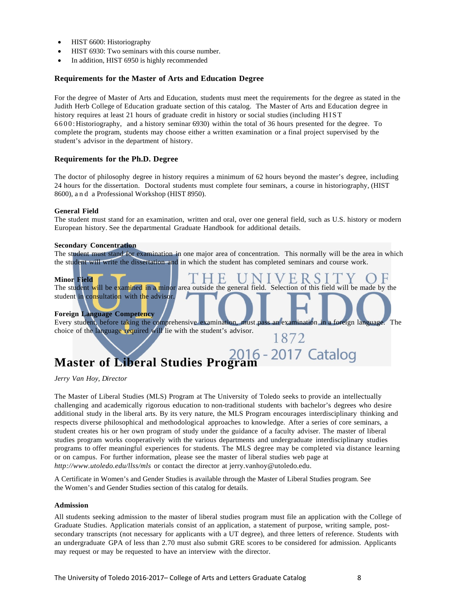- HIST 6600: Historiography
- HIST 6930: Two seminars with this course number.
- In addition, HIST 6950 is highly recommended

#### **Requirements for the Master of Arts and Education Degree**

For the degree of Master of Arts and Education, students must meet the requirements for the degree as stated in the Judith Herb College of Education graduate section of this catalog. The Master of Arts and Education degree in history requires at least 21 hours of graduate credit in history or social studies (including HIST 6600: Historiography, and a history seminar 6930) within the total of 36 hours presented for the degree. To complete the program, students may choose either a written examination or a final project supervised by the student's advisor in the department of history.

#### **Requirements for the Ph.D. Degree**

The doctor of philosophy degree in history requires a minimum of 62 hours beyond the master's degree, including 24 hours for the dissertation. Doctoral students must complete four seminars, a course in historiography, (HIST 8600), and a Professional Workshop (HIST 8950).

#### **General Field**

The student must stand for an examination, written and oral, over one general field, such as U.S. history or modern European history. See the departmental Graduate Handbook for additional details.

#### **Secondary Concentration**

The student must stand for examination in one major area of concentration. This normally will be the area in which the student will write the dissertation and in which the student has completed seminars and course work.

#### **Minor Field**

E U ERS<sub>1</sub> The student will be examined in a minor area outside the general field. Selection of this field will be made by the student in consultation with the advisor. J

#### **Foreign Language Competency**

Every student, before taking the comprehensive examination, must pass an examination in a foreign language. The choice of the language required will lie with the student's advisor. 1872

# **Master of Liberal Studies Program**

*Jerry Van Hoy, Director*

The Master of Liberal Studies (MLS) Program at The University of Toledo seeks to provide an intellectually challenging and academically rigorous education to non-traditional students with bachelor's degrees who desire additional study in the liberal arts. By its very nature, the MLS Program encourages interdisciplinary thinking and respects diverse philosophical and methodological approaches to knowledge. After a series of core seminars, a student creates his or her own program of study under the guidance of a faculty adviser. The master of liberal studies program works cooperatively with the various departments and undergraduate interdisciplinary studies programs to offer meaningful experiences for students. The MLS degree may be completed via distance learning or on campus. For further information, please see the master of liberal studies web page at *<http://www.utoledo.edu/llss/mls>* or contact the director at [jerry.vanhoy@utoledo.edu.](mailto:jerry.vanhoy@utoledo.edu)

A Certificate in Women's and Gender Studies is available through the Master of Liberal Studies program. See the Women's and Gender Studies section of this catalog for details.

#### **Admission**

All students seeking admission to the master of liberal studies program must file an application with the College of Graduate Studies. Application materials consist of an application, a statement of purpose, writing sample, postsecondary transcripts (not necessary for applicants with a UT degree), and three letters of reference. Students with an undergraduate GPA of less than 2.70 must also submit GRE scores to be considered for admission. Applicants may request or may be requested to have an interview with the director.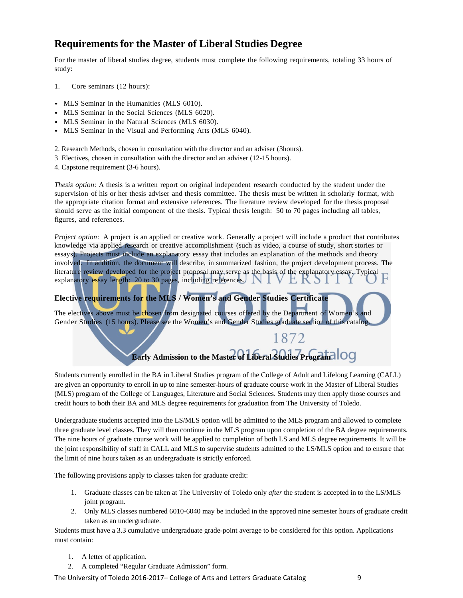## **Requirementsfor the Master of Liberal Studies Degree**

For the master of liberal studies degree, students must complete the following requirements, totaling 33 hours of study:

- 1. Core seminars (12 hours):
- MLS Seminar in the Humanities (MLS 6010).
- MLS Seminar in the Social Sciences (MLS 6020).
- MLS Seminar in the Natural Sciences (MLS 6030).
- MLS Seminar in the Visual and Performing Arts (MLS 6040).
- 2. Research Methods, chosen in consultation with the director and an adviser (3hours).
- 3 Electives, chosen in consultation with the director and an adviser (12-15 hours).
- 4. Capstone requirement (3-6 hours).

*Thesis option*: A thesis is a written report on original independent research conducted by the student under the supervision of his or her thesis adviser and thesis committee. The thesis must be written in scholarly format, with the appropriate citation format and extensive references. The literature review developed for the thesis proposal should serve as the initial component of the thesis. Typical thesis length: 50 to 70 pages including all tables, figures, and references.

*Project option*: A project is an applied or creative work. Generally a project will include a product that contributes knowledge via applied research or creative accomplishment (such as video, a course of study, short stories or essays). Projects must include an explanatory essay that includes an explanation of the methods and theory involved. In addition, the document will describe, in summarized fashion, the project development process. The literature review developed for the project proposal may serve as the basis of the explanatory essay. Typical explanatory essay length: 20 to 30 pages, including references.

## **Elective requirements for the MLS / Women's and Gender Studies Certificate**

The electives above must be chosen from designated courses offered by the Department of Women's and Gender Studies (15 hours). Please see the Women's and Gender Studies graduate section of this catalog.

**Early Admission to the Master of Liberal Studies Program**

1872

Students currently enrolled in the BA in Liberal Studies program of the College of Adult and Lifelong Learning (CALL) are given an opportunity to enroll in up to nine semester-hours of graduate course work in the Master of Liberal Studies (MLS) program of the College of Languages, Literature and Social Sciences. Students may then apply those courses and credit hours to both their BA and MLS degree requirements for graduation from The University of Toledo.

Undergraduate students accepted into the LS/MLS option will be admitted to the MLS program and allowed to complete three graduate level classes. They will then continue in the MLS program upon completion of the BA degree requirements. The nine hours of graduate course work will be applied to completion of both LS and MLS degree requirements. It will be the joint responsibility of staff in CALL and MLS to supervise students admitted to the LS/MLS option and to ensure that the limit of nine hours taken as an undergraduate is strictly enforced.

The following provisions apply to classes taken for graduate credit:

- 1. Graduate classes can be taken at The University of Toledo only *after* the student is accepted in to the LS/MLS joint program*.*
- 2. Only MLS classes numbered 6010-6040 may be included in the approved nine semester hours of graduate credit taken as an undergraduate.

Students must have a 3.3 cumulative undergraduate grade-point average to be considered for this option. Applications must contain:

- 1. A letter of application.
- 2. A completed "Regular Graduate Admission" form.

The University of Toledo 2016-2017– College of Arts and Letters Graduate Catalog 9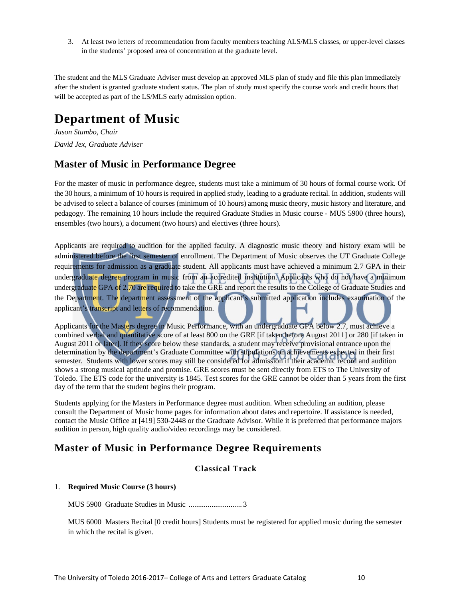3. At least two letters of recommendation from faculty members teaching ALS/MLS classes, or upper-level classes in the students' proposed area of concentration at the graduate level.

The student and the MLS Graduate Adviser must develop an approved MLS plan of study and file this plan immediately after the student is granted graduate student status. The plan of study must specify the course work and credit hours that will be accepted as part of the LS/MLS early admission option.

# **Department of Music**

*Jason Stumbo, Chair David Jex, Graduate Adviser*

## **Master of Music in Performance Degree**

For the master of music in performance degree, students must take a minimum of 30 hours of formal course work. Of the 30 hours, a minimum of 10 hours is required in applied study, leading to a graduate recital. In addition, students will be advised to select a balance of courses (minimum of 10 hours) among music theory, music history and literature, and pedagogy. The remaining 10 hours include the required Graduate Studies in Music course - MUS 5900 (three hours), ensembles (two hours), a document (two hours) and electives (three hours).

Applicants are required to audition for the applied faculty. A diagnostic music theory and history exam will be administered before the first semester of enrollment. The Department of Music observes the UT Graduate College requirements for admission as a graduate student. All applicants must have achieved a minimum 2.7 GPA in their undergraduate degree program in music from an accredited institution. Applicants who do not have a minimum undergraduate GPA of 2.70 are required to take the GRE and report the results to the College of Graduate Studies and the Department. The department assessment of the applicant's submitted application includes examination of the applicant's transcript and letters of recommendation.

Applicants for the Masters degree in Music Performance, with an undergraduate GPA below 2.7, must achieve a combined verbal and quantitative score of at least 800 on the GRE [if taken before August 2011] or 280 [if taken in August 2011 or later]. If they score below these standards, a student may receive provisional entrance upon the determination by the department's Graduate Committee with stipulations on achievements expected in their first semester. Students with lower scores may still be considered for admission if their academic record and audition shows a strong musical aptitude and promise. GRE scores must be sent directly from ETS to The University of Toledo. The ETS code for the university is 1845. Test scores for the GRE cannot be older than 5 years from the first day of the term that the student begins their program.

Students applying for the Masters in Performance degree must audition. When scheduling an audition, please consult the Department of Music home pages for information about dates and repertoire. If assistance is needed, contact the Music Office at [419] 530-2448 or the Graduate Advisor. While it is preferred that performance majors audition in person, high quality audio/video recordings may be considered.

## **Master of Music in Performance Degree Requirements**

## **Classical Track**

## 1. **Required Music Course (3 hours)**

MUS 5900 Graduate Studies in Music ............................ 3

MUS 6000 Masters Recital [0 credit hours] Students must be registered for applied music during the semester in which the recital is given.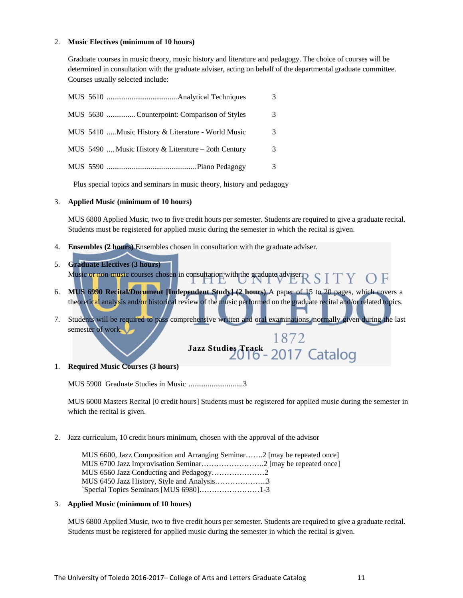#### 2. **Music Electives (minimum of 10 hours)**

Graduate courses in music theory, music history and literature and pedagogy. The choice of courses will be determined in consultation with the graduate adviser, acting on behalf of the departmental graduate committee. Courses usually selected include:

|  | MUS 5630 Counterpoint: Comparison of Styles         |  |
|--|-----------------------------------------------------|--|
|  | MUS 5410  Music History & Literature - World Music  |  |
|  | MUS 5490  Music History & Literature – 2oth Century |  |
|  |                                                     |  |

Plus special topics and seminars in music theory, history and pedagogy

#### 3. **Applied Music (minimum of 10 hours)**

MUS 6800 Applied Music, two to five credit hours per semester. Students are required to give a graduate recital. Students must be registered for applied music during the semester in which the recital is given.

- 4. **Ensembles (2 hours)** Ensembles chosen in consultation with the graduate adviser.
- 5. **Graduate Electives (3 hours)** Music or non-music courses chosen in consultation with the graduate adviser $\operatorname{R}$  S  $\operatorname{ITY}$  $\bigcirc$  F
- 6. **MUS 6990 Recital/Document [Independent Study] (2 hours)** A paper of 15 to 20 pages, which covers a theoretical analysis and/or historical review of the music performed on the graduate recital and/or related topics.
- 7. Students will be required to pass comprehensive written and oral examinations, normally given during the last semester of work.

1872 Jazz Studies Track - 2017 Catalog

1. **Required Music Courses (3 hours)** 

MUS 5900 Graduate Studies in Music ............................ 3

MUS 6000 Masters Recital [0 credit hours] Students must be registered for applied music during the semester in which the recital is given.

2. Jazz curriculum, 10 credit hours minimum, chosen with the approval of the advisor

| MUS 6600, Jazz Composition and Arranging Seminar2 [may be repeated once] |  |
|--------------------------------------------------------------------------|--|
|                                                                          |  |
|                                                                          |  |
| MUS 6450 Jazz History, Style and Analysis3                               |  |
|                                                                          |  |

#### 3. **Applied Music (minimum of 10 hours)**

MUS 6800 Applied Music, two to five credit hours per semester. Students are required to give a graduate recital. Students must be registered for applied music during the semester in which the recital is given.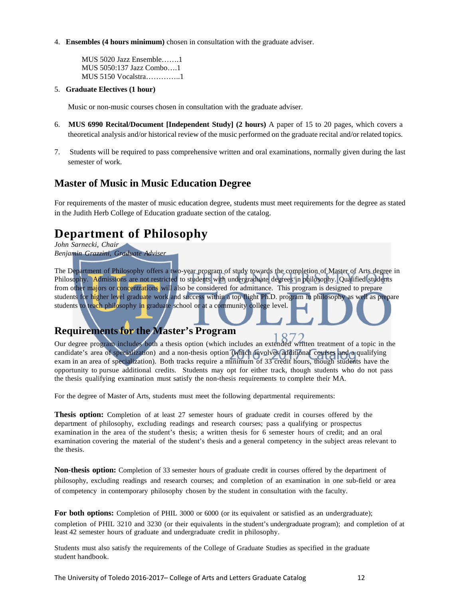4. **Ensembles (4 hours minimum)** chosen in consultation with the graduate adviser.

MUS 5020 Jazz Ensemble…….1 MUS 5050:137 Jazz Combo….1 MUS 5150 Vocalstra…………..1

5. **Graduate Electives (1 hour)**

Music or non-music courses chosen in consultation with the graduate adviser.

- 6. **MUS 6990 Recital/Document [Independent Study] (2 hours)** A paper of 15 to 20 pages, which covers a theoretical analysis and/or historical review of the music performed on the graduate recital and/or related topics.
- 7. Students will be required to pass comprehensive written and oral examinations, normally given during the last semester of work.

## **Master of Music in Music Education Degree**

For requirements of the master of music education degree, students must meet requirements for the degree as stated in the Judith Herb College of Education graduate section of the catalog.

# **Department of Philosophy**

*John Sarnecki, Chair Benjamin Grazzini, Graduate Adviser*

The Department of Philosophy offers a two-year program of study towards the completion of Master of Arts degree in Philosophy. Admissions are not restricted to students with undergraduate degrees in philosophy. Qualified students from other majors or concentrations will also be considered for admittance. This program is designed to prepare students for higher level graduate work and success within a top flight Ph.D. program in philosophy as well as prepare students to teach philosophy in graduate school or at a community college level.

## **Requirementsfor the Master's Program**

Our degree program includes both a thesis option (which includes an extended written treatment of a topic in the candidate's area of specialization) and a non-thesis option (which involves additional courses and a qualifying exam in an area of specialization). Both tracks require a minimum of 33 credit hours, though students have the opportunity to pursue additional credits. Students may opt for either track, though students who do not pass the thesis qualifying examination must satisfy the non-thesis requirements to complete their MA.

For the degree of Master of Arts, students must meet the following departmental requirements:

**Thesis option:** Completion of at least 27 semester hours of graduate credit in courses offered by the department of philosophy, excluding readings and research courses; pass a qualifying or prospectus examination in the area of the student's thesis; a written thesis for 6 semester hours of credit; and an oral examination covering the material of the student's thesis and a general competency in the subject areas relevant to the thesis.

**Non-thesis option:** Completion of 33 semester hours of graduate credit in courses offered by the department of philosophy, excluding readings and research courses; and completion of an examination in one sub-field or area of competency in contemporary philosophy chosen by the student in consultation with the faculty.

**For both options:** Completion of PHIL 3000 or 6000 (or its equivalent or satisfied as an undergraduate); completion of PHIL 3210 and 3230 (or their equivalents in the student's undergraduate program); and completion of at least 42 semester hours of graduate and undergraduate credit in philosophy.

Students must also satisfy the requirements of the College of Graduate Studies as specified in the graduate student handbook.

The University of Toledo 2016-2017– College of Arts and Letters Graduate Catalog 12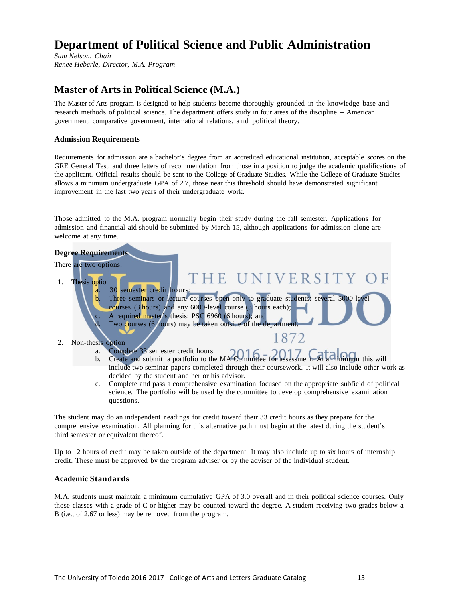# **Department of Political Science and Public Administration**

*Sam Nelson, Chair Renee Heberle, Director, M.A. Program*

## **Master of Arts in Political Science (M.A.)**

The Master of Arts program is designed to help students become thoroughly grounded in the knowledge base and research methods of political science. The department offers study in four areas of the discipline -- American government, comparative government, international relations, and political theory.

## **Admission Requirements**

Requirements for admission are a bachelor's degree from an accredited educational institution, acceptable scores on the GRE General Test, and three letters of recommendation from those in a position to judge the academic qualifications of the applicant. Official results should be sent to the College of Graduate Studies. While the College of Graduate Studies allows a minimum undergraduate GPA of 2.7, those near this threshold should have demonstrated significant improvement in the last two years of their undergraduate work.

Those admitted to the M.A. program normally begin their study during the fall semester. Applications for admission and financial aid should be submitted by March 15, although applications for admission alone are welcome at any time.



The student may do an independent r eadings for credit toward their 33 credit hours as they prepare for the comprehensive examination. All planning for this alternative path must begin at the latest during the student's third semester or equivalent thereof.

Up to 12 hours of credit may be taken outside of the department. It may also include up to six hours of internship credit. These must be approved by the program adviser or by the adviser of the individual student.

## **Academic Standards**

M.A. students must maintain a minimum cumulative GPA of 3.0 overall and in their political science courses. Only those classes with a grade of C or higher may be counted toward the degree. A student receiving two grades below a B (i.e., of 2.67 or less) may be removed from the program.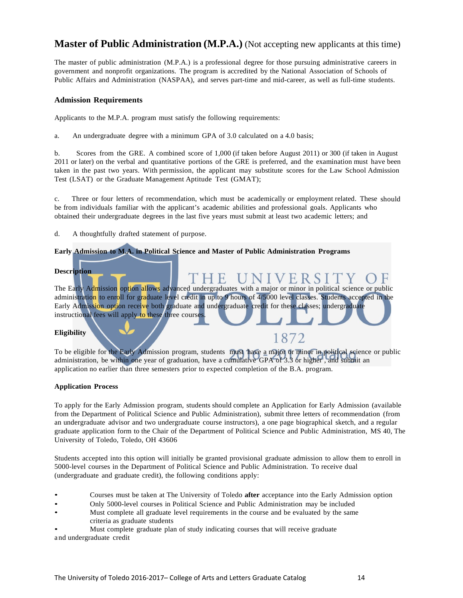## **Master of Public Administration (M.P.A.)** (Not accepting new applicants at this time)

The master of public administration (M.P.A.) is a professional degree for those pursuing administrative careers in government and nonprofit organizations. The program is accredited by the National Association of Schools of Public Affairs and Administration (NASPAA), and serves part-time and mid-career, as well as full-time students.

#### **Admission Requirements**

Applicants to the M.P.A. program must satisfy the following requirements:

a. An undergraduate degree with a minimum GPA of 3.0 calculated on a 4.0 basis;

b. Scores from the GRE. A combined score of 1,000 (if taken before August 2011) or 300 (if taken in August 2011 or later) on the verbal and quantitative portions of the GRE is preferred, and the examination must have been taken in the past two years. With permission, the applicant may substitute scores for the Law School Admission Test (LSAT) or the Graduate Management Aptitude Test (GMAT);

c. Three or four letters of recommendation, which must be academically or employment related. These should be from individuals familiar with the applicant's academic abilities and professional goals. Applicants who obtained their undergraduate degrees in the last five years must submit at least two academic letters; and

d. A thoughtfully drafted statement of purpose.

## **Early Admission to M.A. in Political Science and Master of Public Administration Programs**

**Description**

HE UNIVERSI The Early Admission option allows advanced undergraduates with a major or minor in political science or public administration to enroll for graduate level credit in up to 9 hours of 4/5000 level classes. Students accepted in the Early Admission option receive both graduate and undergraduate credit for these classes; undergraduate instructional fees will apply to these three courses

#### **Eligibility**

To be eligible for the Early Admission program, students must have a major or minor in political science or public administration, be within one year of graduation, have a cumulative GPA of 3.3 or higher , and submit an application no earlier than three semesters prior to expected completion of the B.A. program.

1872

#### **Application Process**

To apply for the Early Admission program, students should complete an Application for Early Admission (available from the Department of Political Science and Public Administration), submit three letters of recommendation (from an undergraduate advisor and two undergraduate course instructors), a one page biographical sketch, and a regular graduate application form to the Chair of the Department of Political Science and Public Administration, MS 40, The University of Toledo, Toledo, OH 43606

Students accepted into this option will initially be granted provisional graduate admission to allow them to enroll in 5000-level courses in the Department of Political Science and Public Administration. To receive dual (undergraduate and graduate credit), the following conditions apply:

- Courses must be taken at The University of Toledo **after** acceptance into the Early Admission option
- Only 5000-level courses in Political Science and Public Administration may be included
- Must complete all graduate level requirements in the course and be evaluated by the same criteria as graduate students

• Must complete graduate plan of study indicating courses that will receive graduate a nd undergraduate credit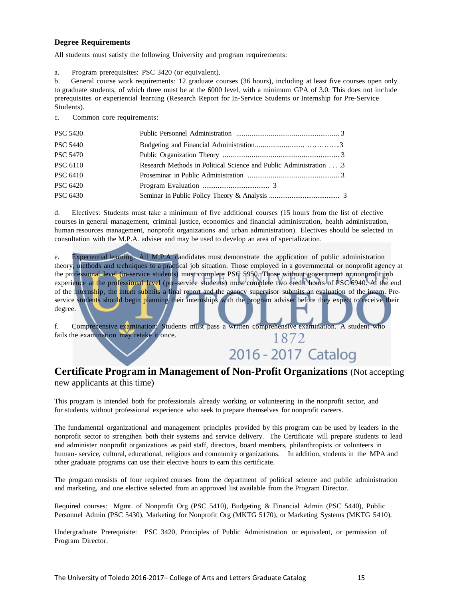## **Degree Requirements**

All students must satisfy the following University and program requirements:

a. Program prerequisites: PSC 3420 (or equivalent).

b. General course work requirements: 12 graduate courses (36 hours), including at least five courses open only to graduate students, of which three must be at the 6000 level, with a minimum GPA of 3.0. This does not include prerequisites or experiential learning (Research Report for In-Service Students or Internship for Pre-Service Students).

c. Common core requirements:

| <b>PSC 5430</b> |                                                                   |  |
|-----------------|-------------------------------------------------------------------|--|
| <b>PSC 5440</b> |                                                                   |  |
| <b>PSC 5470</b> |                                                                   |  |
| <b>PSC 6110</b> | Research Methods in Political Science and Public Administration 3 |  |
| <b>PSC 6410</b> |                                                                   |  |
| <b>PSC 6420</b> |                                                                   |  |
| <b>PSC 6430</b> |                                                                   |  |

d. Electives: Students must take a minimum of five additional courses (15 hours from the list of elective courses in general management, criminal justice, economics and financial administration, health administration, human resources management, nonprofit organizations and urban administration). Electives should be selected in consultation with the M.P.A. adviser and may be used to develop an area of specialization.

e. Experiential learning: All M.P.A. candidates must demonstrate the application of public administration theory, methods and techniques to a practical job situation. Those employed in a governmental or nonprofit agency at the professional level (in-service students) must complete PSC 5950. Those without government or nonprofit job experience at the professional level (pre-service students) must complete two credit hours of PSC 6940. At the end of the internship, the intern submits a final report and the agency supervisor submits an evaluation of the intern. Preservice students should begin planning their internships with the program adviser before they expect to receive their degree.

f. Comprehensive examination: Students must pass a written comprehensive examination. A student who fails the examination may retake it once. 1872

# 2016 - 2017 Catalog

## **Certificate Program in Management of Non-Profit Organizations** (Not accepting new applicants at this time)

This program is intended both for professionals already working or volunteering in the nonprofit sector, and for students without professional experience who seek to prepare themselves for nonprofit careers.

The fundamental organizational and management principles provided by this program can be used by leaders in the nonprofit sector to strengthen both their systems and service delivery. The Certificate will prepare students to lead and administer nonprofit organizations as paid staff, directors, board members, philanthropists or volunteers in human- service, cultural, educational, religious and community organizations. In addition, students in the MPA and other graduate programs can use their elective hours to earn this certificate.

The program consists of four required courses from the department of political science and public administration and marketing, and one elective selected from an approved list available from the Program Director.

Required courses: Mgmt. of Nonprofit Org (PSC 5410), Budgeting & Financial Admin (PSC 5440), Public Personnel Admin (PSC 5430), Marketing for Nonprofit Org (MKTG 5170), or Marketing Systems (MKTG 5410).

Undergraduate Prerequisite: PSC 3420, Principles of Public Administration or equivalent, or permission of Program Director.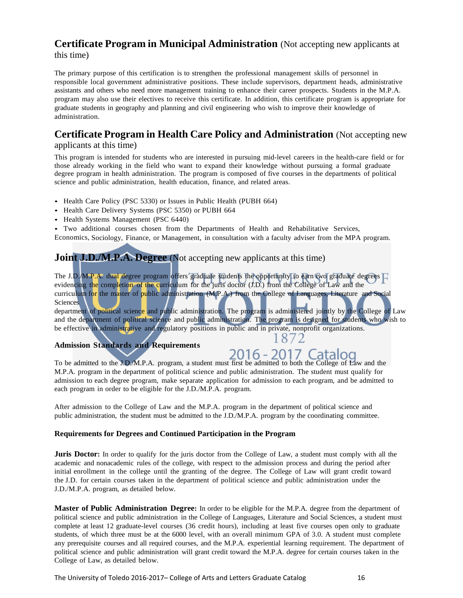## **Certificate Program in Municipal Administration** (Not accepting new applicants at this time)

The primary purpose of this certification is to strengthen the professional management skills of personnel in responsible local government administrative positions. These include supervisors, department heads, administrative assistants and others who need more management training to enhance their career prospects. Students in the M.P.A. program may also use their electives to receive this certificate. In addition, this certificate program is appropriate for graduate students in geography and planning and civil engineering who wish to improve their knowledge of administration.

## **Certificate Program in Health Care Policy and Administration** (Not accepting new

## applicants at this time)

This program is intended for students who are interested in pursuing mid-level careers in the health-care field or for those already working in the field who want to expand their knowledge without pursuing a formal graduate degree program in health administration. The program is composed of five courses in the departments of political science and public administration, health education, finance, and related areas.

- Health Care Policy (PSC 5330) or Issues in Public Health (PUBH 664)
- Health Care Delivery Systems (PSC 5350) or PUBH 664
- Health Systems Management (PSC 6440)
- Two additional courses chosen from the Departments of Health and Rehabilitative Services,

Economics, Sociology, Finance, or Management, in consultation with a faculty adviser from the MPA program.

## **Joint J.D./M.P.A. Degree** (Not accepting new applicants at this time)

The J.D./M.P.A. dual degree program offers graduate students the opportunity to earn two graduate degrees  $\Box$ evidencing the completion of the curriculum for the juris doctor (J.D.) from the College of Law and the curriculum for the master of public administration (M.P.A.) from the College of Languages, Literature and Social Sciences

department of political science and public administration. The program is administered jointly by the College of Law and the department of political science and public administration. The program is designed for students who wish to be effective in administrative and regulatory positions in public and in private, nonprofit organizations.

## **Admission Standards and Requirements**

# 2016 - 2017 Catalog

1872

To be admitted to the J.D./M.P.A. program, a student must first be admitted to both the College of Law and the M.P.A. program in the department of political science and public administration. The student must qualify for admission to each degree program, make separate application for admission to each program, and be admitted to each program in order to be eligible for the J.D./M.P.A. program.

After admission to the College of Law and the M.P.A. program in the department of political science and public administration, the student must be admitted to the J.D./M.P.A. program by the coordinating committee.

## **Requirements for Degrees and Continued Participation in the Program**

**Juris Doctor:** In order to qualify for the juris doctor from the College of Law, a student must comply with all the academic and nonacademic rules of the college, with respect to the admission process and during the period after initial enrollment in the college until the granting of the degree. The College of Law will grant credit toward the J.D. for certain courses taken in the department of political science and public administration under the J.D./M.P.A. program, as detailed below.

**Master of Public Administration Degree:** In order to be eligible for the M.P.A. degree from the department of political science and public administration in the College of Languages, Literature and Social Sciences, a student must complete at least 12 graduate-level courses (36 credit hours), including at least five courses open only to graduate students, of which three must be at the 6000 level, with an overall minimum GPA of 3.0. A student must complete any prerequisite courses and all required courses, and the M.P.A. experiential learning requirement. The department of political science and public administration will grant credit toward the M.P.A. degree for certain courses taken in the College of Law, as detailed below.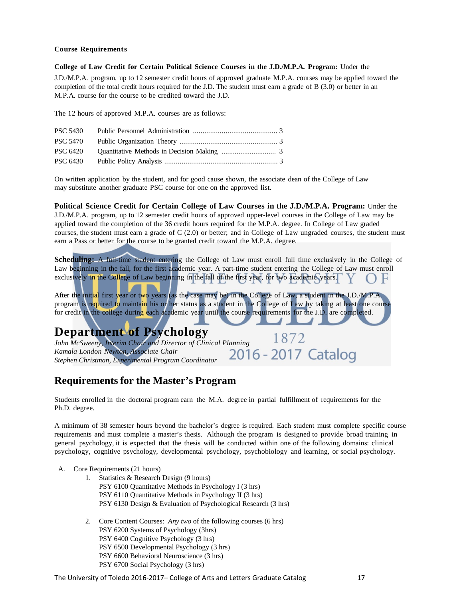#### **Course Requirements**

**College of Law Credit for Certain Political Science Courses in the J.D./M.P.A. Program:** Under the

J.D./M.P.A. program, up to 12 semester credit hours of approved graduate M.P.A. courses may be applied toward the completion of the total credit hours required for the J.D. The student must earn a grade of B (3.0) or better in an M.P.A. course for the course to be credited toward the J.D.

The 12 hours of approved M.P.A. courses are as follows:

| <b>PSC 5430</b> |  |
|-----------------|--|
|                 |  |
|                 |  |
|                 |  |

On written application by the student, and for good cause shown, the associate dean of the College of Law may substitute another graduate PSC course for one on the approved list.

**Political Science Credit for Certain College of Law Courses in the J.D./M.P.A. Program:** Under the J.D./M.P.A. program, up to 12 semester credit hours of approved upper-level courses in the College of Law may be applied toward the completion of the 36 credit hours required for the M.P.A. degree. In College of Law graded courses, the student must earn a grade of C (2.0) or better; and in College of Law ungraded courses, the student must earn a Pass or better for the course to be granted credit toward the M.P.A. degree.

**Scheduling:** A full-time student entering the College of Law must enroll full time exclusively in the College of Law beginning in the fall, for the first academic year. A part-time student entering the College of Law must enroll exclusively in the College of Law beginning in the fall of the first year, for two academic years.

After the initial first year or two years (as the case may be) in the College of Law, a student in the J.D./M.P.A. program is required to maintain his or her status as a student in the College of Law by taking at least one course for credit in the college during each academic year until the course requirements for the J.D. are completed.

# **Department of Psychology**

1872 *John McSweeny, Interim Chair and Director of Clinical Planning*<br> *Kamala London Newton, Associate Chair*<br>
Starker Christman, Emperated Program Coordinator **2016** - 2017 Catalog *Kamala London Newton, Associate Chair Stephen Christman, Experimental Program Coordinator*

## **Requirementsfor the Master's Program**

Students enrolled in the doctoral program earn the M.A. degree in partial fulfillment of requirements for the Ph.D. degree.

A minimum of 38 semester hours beyond the bachelor's degree is required. Each student must complete specific course requirements and must complete a master's thesis. Although the program is designed to provide broad training in general psychology, it is expected that the thesis will be conducted within one of the following domains: clinical psychology, cognitive psychology, developmental psychology, psychobiology and learning, or social psychology.

- A. Core Requirements (21 hours)
	- 1. Statistics & Research Design (9 hours) PSY 6100 Quantitative Methods in Psychology I (3 hrs) PSY 6110 Quantitative Methods in Psychology II (3 hrs) PSY 6130 Design & Evaluation of Psychological Research (3 hrs)
	- 2. Core Content Courses: *Any two* of the following courses (6 hrs) PSY 6200 Systems of Psychology (3hrs) PSY 6400 Cognitive Psychology (3 hrs) PSY 6500 Developmental Psychology (3 hrs) PSY 6600 Behavioral Neuroscience (3 hrs) PSY 6700 Social Psychology (3 hrs)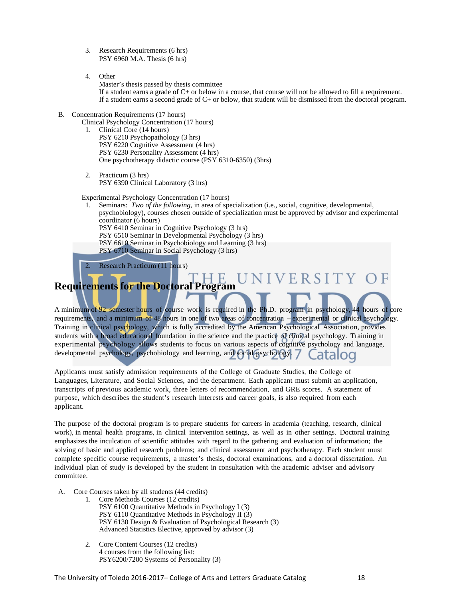- 3. Research Requirements (6 hrs) PSY 6960 M.A. Thesis (6 hrs)
- 4. Other

Master's thesis passed by thesis committee If a student earns a grade of C+ or below in a course, that course will not be allowed to fill a requirement. If a student earns a second grade of C+ or below, that student will be dismissed from the doctoral program.

- B. Concentration Requirements (17 hours)
	- Clinical Psychology Concentration (17 hours)
		- 1. Clinical Core (14 hours) PSY 6210 Psychopathology (3 hrs) PSY 6220 Cognitive Assessment (4 hrs) PSY 6230 Personality Assessment (4 hrs) One psychotherapy didactic course (PSY 6310-6350) (3hrs)
		- 2. Practicum (3 hrs) PSY 6390 Clinical Laboratory (3 hrs)

Experimental Psychology Concentration (17 hours)

1. Seminars: *Two of the following*, in area of specialization (i.e., social, cognitive, developmental, psychobiology), courses chosen outside of specialization must be approved by advisor and experimental coordinator (6 hours) PSY 6410 Seminar in Cognitive Psychology (3 hrs) PSY 6510 Seminar in Developmental Psychology (3 hrs) PSY 6610 Seminar in Psychobiology and Learning (3 hrs) PSY 6710 Seminar in Social Psychology (3 hrs)

ERSITY

Research Practicum (11 hours)

# **Requirementsfor the Doctoral Program**

A minimum of 92 semester hours of course work is required in the Ph.D. program in psychology, 44 hours of core requirements, and a minimum of 48 hours in one of two areas of concentration – experimental or clinical psychology. Training in clinical psychology, which is fully accredited by the American Psychological Association, provides students with a broad educational foundation in the science and the practice of clinical psychology. Training in experimental psychology allows students to focus on various aspects of cognitive psychology and language, developmental psychology, psychobiology and learning, and social psychology.

Applicants must satisfy admission requirements of the College of Graduate Studies, the College of Languages, Literature, and Social Sciences, and the department. Each applicant must submit an application, transcripts of previous academic work, three letters of recommendation, and GRE scores. A statement of purpose, which describes the student's research interests and career goals, is also required from each applicant.

The purpose of the doctoral program is to prepare students for careers in academia (teaching, research, clinical work), in mental health programs, in clinical intervention settings, as well as in other settings. Doctoral training emphasizes the inculcation of scientific attitudes with regard to the gathering and evaluation of information; the solving of basic and applied research problems; and clinical assessment and psychotherapy. Each student must complete specific course requirements, a master's thesis, doctoral examinations, and a doctoral dissertation. An individual plan of study is developed by the student in consultation with the academic adviser and advisory committee.

- A. Core Courses taken by all students (44 credits)
	- 1. Core Methods Courses (12 credits) PSY 6100 Quantitative Methods in Psychology I (3) PSY 6110 Quantitative Methods in Psychology II (3) PSY 6130 Design & Evaluation of Psychological Research (3) Advanced Statistics Elective, approved by advisor (3)
	- 2. Core Content Courses (12 credits) 4 courses from the following list: PSY6200/7200 Systems of Personality (3)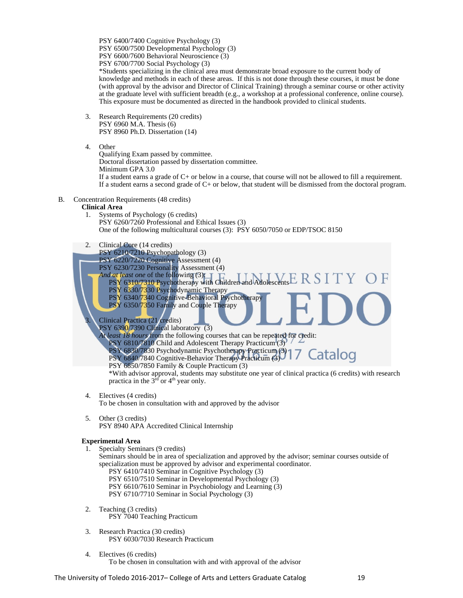PSY 6400/7400 Cognitive Psychology (3) PSY 6500/7500 Developmental Psychology (3) PSY 6600/7600 Behavioral Neuroscience (3) PSY 6700/7700 Social Psychology (3) \*Students specializing in the clinical area must demonstrate broad exposure to the current body of

knowledge and methods in each of these areas. If this is not done through these courses, it must be done (with approval by the advisor and Director of Clinical Training) through a seminar course or other activity at the graduate level with sufficient breadth (e.g., a workshop at a professional conference, online course). This exposure must be documented as directed in the handbook provided to clinical students.

- 3. Research Requirements (20 credits) PSY 6960 M.A. Thesis (6) PSY 8960 Ph.D. Dissertation (14)
- 4. Other
	- Qualifying Exam passed by committee. Doctoral dissertation passed by dissertation committee. Minimum GPA 3.0 If a student earns a grade of C+ or below in a course, that course will not be allowed to fill a requirement. If a student earns a second grade of C+ or below, that student will be dismissed from the doctoral program.
- B. Concentration Requirements (48 credits)
	- **Clinical Area**
		- 1. Systems of Psychology (6 credits) PSY 6260/7260 Professional and Ethical Issues (3) One of the following multicultural courses (3): PSY 6050/7050 or EDP/TSOC 8150
		- 2. Clinical Core (14 credits)
			- PSY 6210/7210 Psychopathology (3)
			- PSY 6220/7220 Cognitive Assessment (4)

PSY 6230/7230 Personality Assessment (4)

*And at least one* of the following (3): PSY 6310/7310 Psychotherapy with Children and Adolescents

- PSY 6330/7330 Psychodynamic Therapy
- PSY 6340/7340 Cognitive-Behavioral Psychotherapy PSY 6350/7350 Family and Couple Therapy

Clinical Practica (21 credits)

PSY 6390/7390 Clinical laboratory (3)

*At least 18 hours* from the following courses that can be repeated for credit:

PSY 6810/7810 Child and Adolescent Therapy Practicum (3)

- PSY 6830/7830 Psychodynamic Psychotherapy Practicum (3) Catalog PSY 6840/7840 Cognitive-Behavior Therapy Practicum (3)
- PSY 6850/7850 Family & Couple Practicum (3)

\*With advisor approval, students may substitute one year of clinical practica (6 credits) with research practica in the  $3<sup>rd</sup>$  or 4<sup>th</sup> year only.

4. Electives (4 credits)

To be chosen in consultation with and approved by the advisor

5. Other (3 credits) PSY 8940 APA Accredited Clinical Internship

## **Experimental Area**

1. Specialty Seminars (9 credits)

Seminars should be in area of specialization and approved by the advisor; seminar courses outside of specialization must be approved by advisor and experimental coordinator.

- PSY 6410/7410 Seminar in Cognitive Psychology (3) PSY 6510/7510 Seminar in Developmental Psychology (3) PSY 6610/7610 Seminar in Psychobiology and Learning (3) PSY 6710/7710 Seminar in Social Psychology (3)
- 2. Teaching (3 credits) PSY 7040 Teaching Practicum
- 3. Research Practica (30 credits) PSY 6030/7030 Research Practicum
- 4. Electives (6 credits) To be chosen in consultation with and with approval of the advisor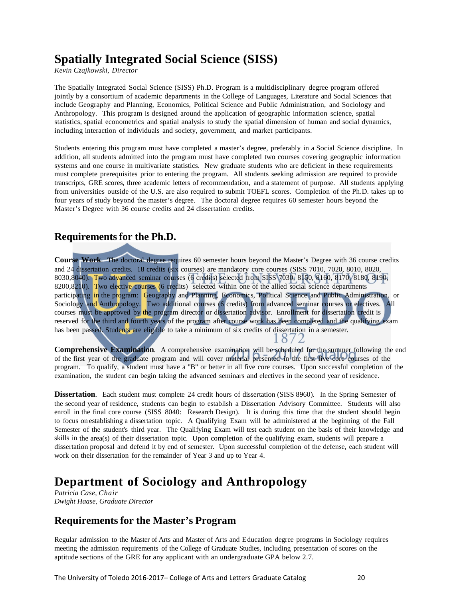# **Spatially Integrated Social Science (SISS)**

*Kevin Czajkowski, Director*

The Spatially Integrated Social Science (SISS) Ph.D. Program is a multidisciplinary degree program offered jointly by a consortium of academic departments in the College of Languages, Literature and Social Sciences that include Geography and Planning, Economics, Political Science and Public Administration, and Sociology and Anthropology. This program is designed around the application of geographic information science, spatial statistics, spatial econometrics and spatial analysis to study the spatial dimension of human and social dynamics, including interaction of individuals and society, government, and market participants.

Students entering this program must have completed a master's degree, preferably in a Social Science discipline. In addition, all students admitted into the program must have completed two courses covering geographic information systems and one course in multivariate statistics. New graduate students who are deficient in these requirements must complete prerequisites prior to entering the program. All students seeking admission are required to provide transcripts, GRE scores, three academic letters of recommendation, and a statement of purpose. All students applying from universities outside of the U.S. are also required to submit TOEFL scores. Completion of the Ph.D. takes up to four years of study beyond the master's degree. The doctoral degree requires 60 semester hours beyond the Master's Degree with 36 course credits and 24 dissertation credits.

## **Requirementsfor the Ph.D.**

**Course Work**. The doctoral degree requires 60 semester hours beyond the Master's Degree with 36 course credits and 24 dissertation credits. 18 credits (six courses) are mandatory core courses (SISS 7010, 7020, 8010, 8020, 8030,8040). Two advanced seminar courses (6 credits) selected from SISS 7030, 8150, 8160, 8170, 8180, 8190, 8200,8210). Two elective courses (6 credits) selected within one of the allied social science departments participating in the program: Geography and Planning, Economics, Political Science and Public Administration, or Sociology and Anthropology. Two additional courses (6 credits) from advanced seminar courses or electives. All courses must be approved by the program director or dissertation advisor. Enrollment for dissertation credit is reserved for the third and fourth years of the program after course work has been completed and the qualifying exam has been passed. Students are eligible to take a minimum of six credits of dissertation in a semester. 1872

**Comprehensive Examination**. A comprehensive examination will be scheduled for the summer following the end of the first year of the graduate program and will cover material presented in the first five core courses of the program. To qualify, a student must have a "B" or better in all five core courses. Upon successful completion of the examination, the student can begin taking the advanced seminars and electives in the second year of residence.

**Dissertation**. Each student must complete 24 credit hours of dissertation (SISS 8960). In the Spring Semester of the second year of residence, students can begin to establish a Dissertation Advisory Committee. Students will also enroll in the final core course (SISS 8040: Research Design). It is during this time that the student should begin to focus on establishing a dissertation topic. A Qualifying Exam will be administered at the beginning of the Fall Semester of the student's third year. The Qualifying Exam will test each student on the basis of their knowledge and skills in the area(s) of their dissertation topic. Upon completion of the qualifying exam, students will prepare a dissertation proposal and defend it by end of semester. Upon successful completion of the defense, each student will work on their dissertation for the remainder of Year 3 and up to Year 4.

# **Department of Sociology and Anthropology**

*Patricia Case, Chair Dwight Haase, Graduate Director*

## **Requirementsfor the Master's Program**

Regular admission to the Master of Arts and Master of Arts and Education degree programs in Sociology requires meeting the admission requirements of the College of Graduate Studies, including presentation of scores on the aptitude sections of the GRE for any applicant with an undergraduate GPA below 2.7.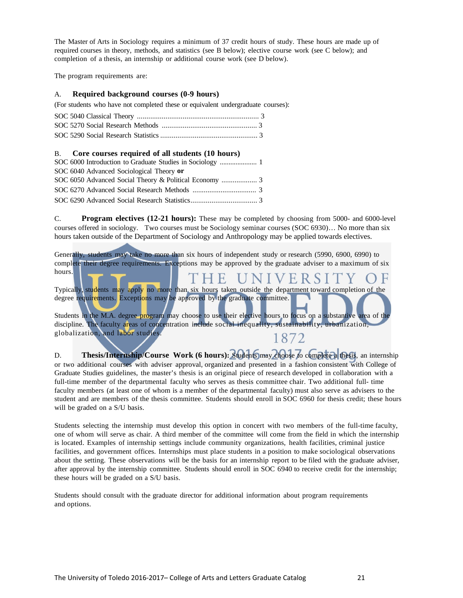The Master of Arts in Sociology requires a minimum of 37 credit hours of study. These hours are made up of required courses in theory, methods, and statistics (see B below); elective course work (see C below); and completion of a thesis, an internship or additional course work (see D below).

The program requirements are:

#### A. **Required background courses (0-9 hours)**

(For students who have not completed these or equivalent undergraduate courses):

## B. **Core courses required of all students (10 hours)**

|  | SOC 6040 Advanced Sociological Theory or |  |  |  |
|--|------------------------------------------|--|--|--|
|  |                                          |  |  |  |
|  |                                          |  |  |  |
|  |                                          |  |  |  |

C. **Program electives (12-21 hours):** These may be completed by choosing from 5000- and 6000-level courses offered in sociology. Two courses must be Sociology seminar courses (SOC 6930)… No more than six hours taken outside of the Department of Sociology and Anthropology may be applied towards electives.

Generally, students may take no more than six hours of independent study or research (5990, 6900, 6990) to complete their degree requirements. Exceptions may be approved by the graduate adviser to a maximum of six hours.

VERSIT

Typically, students may apply no more than six hours taken outside the department toward completion of the degree requirements. Exceptions may be approved by the graduate committee.

1 F.

Students in the M.A. degree program may choose to use their elective hours to focus on a substantive area of the discipline. The faculty areas of concentration include social inequality, sustainability, urbanization, globalization, and labor studies. 1872

D. **Thesis/Internship/Course Work (6 hours):** Students may choose to complete a thesis, an internship or two additional courses with adviser approval, organized and presented in a fashion consistent with College of Graduate Studies guidelines, the master's thesis is an original piece of research developed in collaboration with a full-time member of the departmental faculty who serves as thesis committee chair. Two additional full- time faculty members (at least one of whom is a member of the departmental faculty) must also serve as advisers to the student and are members of the thesis committee. Students should enroll in SOC 6960 for thesis credit; these hours will be graded on a S/U basis.

Students selecting the internship must develop this option in concert with two members of the full-time faculty, one of whom will serve as chair. A third member of the committee will come from the field in which the internship is located. Examples of internship settings include community organizations, health facilities, criminal justice facilities, and government offices. Internships must place students in a position to make sociological observations about the setting. These observations will be the basis for an internship report to be filed with the graduate adviser, after approval by the internship committee. Students should enroll in SOC 6940 to receive credit for the internship; these hours will be graded on a S/U basis.

Students should consult with the graduate director for additional information about program requirements and options.